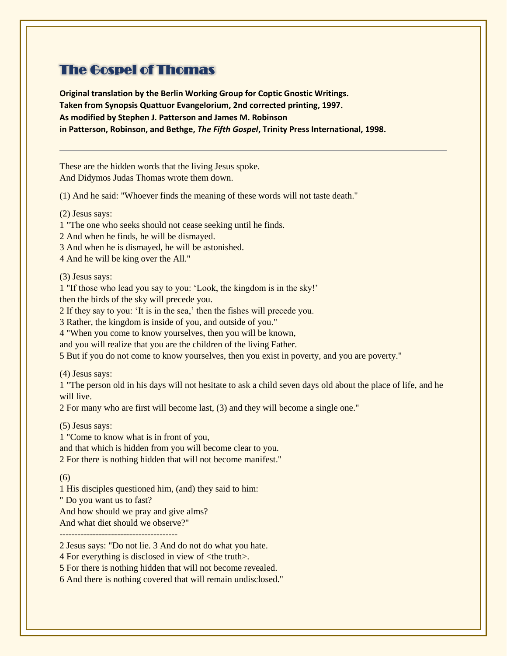# The Gospel of Thomas

**Original translation by the Berlin Working Group for Coptic Gnostic Writings. Taken from Synopsis Quattuor Evangelorium, 2nd corrected printing, 1997. As modified by Stephen J. Patterson and James M. Robinson in Patterson, Robinson, and Bethge,** *The Fifth Gospel***, Trinity Press International, 1998.** 

These are the hidden words that the living Jesus spoke. And Didymos Judas Thomas wrote them down.

(1) And he said: "Whoever finds the meaning of these words will not taste death."

(2) Jesus says:

1 "The one who seeks should not cease seeking until he finds.

2 And when he finds, he will be dismayed.

3 And when he is dismayed, he will be astonished.

4 And he will be king over the All."

(3) Jesus says:

1 "If those who lead you say to you: 'Look, the kingdom is in the sky!'

then the birds of the sky will precede you.

2 If they say to you: 'It is in the sea,' then the fishes will precede you.

3 Rather, the kingdom is inside of you, and outside of you."

4 "When you come to know yourselves, then you will be known,

and you will realize that you are the children of the living Father.

5 But if you do not come to know yourselves, then you exist in poverty, and you are poverty."

(4) Jesus says:

1 "The person old in his days will not hesitate to ask a child seven days old about the place of life, and he will live.

2 For many who are first will become last, (3) and they will become a single one."

(5) Jesus says:

1 "Come to know what is in front of you, and that which is hidden from you will become clear to you. 2 For there is nothing hidden that will not become manifest."

(6)

1 His disciples questioned him, (and) they said to him:

" Do you want us to fast?

And how should we pray and give alms?

And what diet should we observe?"

---------------------------------------

2 Jesus says: "Do not lie. 3 And do not do what you hate.

4 For everything is disclosed in view of <the truth>.

5 For there is nothing hidden that will not become revealed.

6 And there is nothing covered that will remain undisclosed."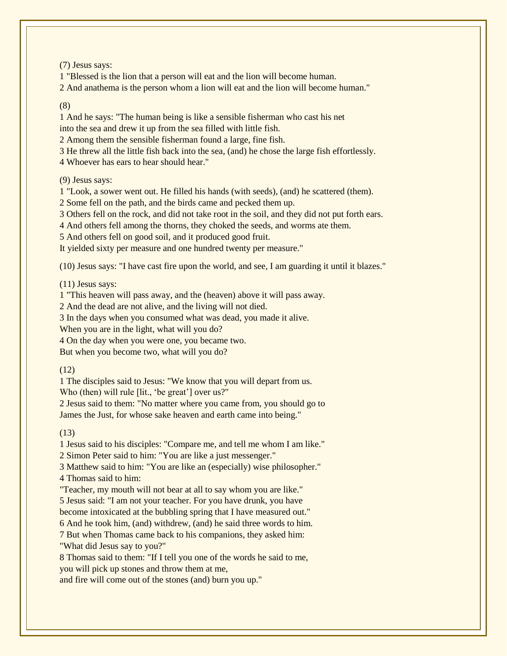(7) Jesus says:

1 "Blessed is the lion that a person will eat and the lion will become human.

2 And anathema is the person whom a lion will eat and the lion will become human."

## (8)

1 And he says: "The human being is like a sensible fisherman who cast his net into the sea and drew it up from the sea filled with little fish.

2 Among them the sensible fisherman found a large, fine fish.

3 He threw all the little fish back into the sea, (and) he chose the large fish effortlessly.

4 Whoever has ears to hear should hear."

(9) Jesus says:

1 "Look, a sower went out. He filled his hands (with seeds), (and) he scattered (them).

2 Some fell on the path, and the birds came and pecked them up.

3 Others fell on the rock, and did not take root in the soil, and they did not put forth ears.

4 And others fell among the thorns, they choked the seeds, and worms ate them.

5 And others fell on good soil, and it produced good fruit.

It yielded sixty per measure and one hundred twenty per measure."

(10) Jesus says: "I have cast fire upon the world, and see, I am guarding it until it blazes."

(11) Jesus says:

1 "This heaven will pass away, and the (heaven) above it will pass away.

2 And the dead are not alive, and the living will not died.

3 In the days when you consumed what was dead, you made it alive.

When you are in the light, what will you do?

4 On the day when you were one, you became two.

But when you become two, what will you do?

# (12)

1 The disciples said to Jesus: "We know that you will depart from us.

Who (then) will rule *[lit., 'be great'* ] over us?"

2 Jesus said to them: "No matter where you came from, you should go to James the Just, for whose sake heaven and earth came into being."

# (13)

1 Jesus said to his disciples: "Compare me, and tell me whom I am like." 2 Simon Peter said to him: "You are like a just messenger."

3 Matthew said to him: "You are like an (especially) wise philosopher." 4 Thomas said to him:

"Teacher, my mouth will not bear at all to say whom you are like." 5 Jesus said: "I am not your teacher. For you have drunk, you have become intoxicated at the bubbling spring that I have measured out."

6 And he took him, (and) withdrew, (and) he said three words to him.

7 But when Thomas came back to his companions, they asked him: "What did Jesus say to you?"

8 Thomas said to them: "If I tell you one of the words he said to me, you will pick up stones and throw them at me,

and fire will come out of the stones (and) burn you up."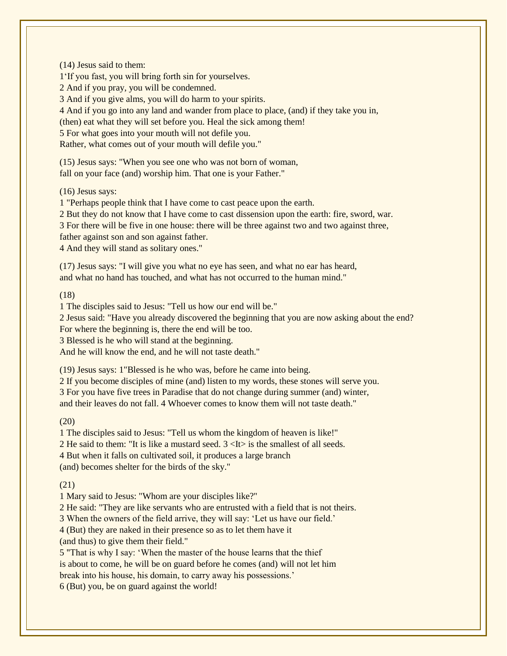(14) Jesus said to them: 1'If you fast, you will bring forth sin for yourselves. 2 And if you pray, you will be condemned. 3 And if you give alms, you will do harm to your spirits. 4 And if you go into any land and wander from place to place, (and) if they take you in, (then) eat what they will set before you. Heal the sick among them! 5 For what goes into your mouth will not defile you. Rather, what comes out of your mouth will defile you."

(15) Jesus says: "When you see one who was not born of woman, fall on your face (and) worship him. That one is your Father."

(16) Jesus says:

1 "Perhaps people think that I have come to cast peace upon the earth.

2 But they do not know that I have come to cast dissension upon the earth: fire, sword, war.

3 For there will be five in one house: there will be three against two and two against three,

father against son and son against father.

4 And they will stand as solitary ones."

(17) Jesus says: "I will give you what no eye has seen, and what no ear has heard, and what no hand has touched, and what has not occurred to the human mind."

(18)

1 The disciples said to Jesus: "Tell us how our end will be."

2 Jesus said: "Have you already discovered the beginning that you are now asking about the end? For where the beginning is, there the end will be too.

3 Blessed is he who will stand at the beginning.

And he will know the end, and he will not taste death."

(19) Jesus says: 1"Blessed is he who was, before he came into being.

2 If you become disciples of mine (and) listen to my words, these stones will serve you. 3 For you have five trees in Paradise that do not change during summer (and) winter, and their leaves do not fall. 4 Whoever comes to know them will not taste death."

# $(20)$

1 The disciples said to Jesus: "Tell us whom the kingdom of heaven is like!" 2 He said to them: "It is like a mustard seed.  $3 \lt 1$ t is the smallest of all seeds. 4 But when it falls on cultivated soil, it produces a large branch (and) becomes shelter for the birds of the sky."

# (21)

1 Mary said to Jesus: "Whom are your disciples like?"

2 He said: "They are like servants who are entrusted with a field that is not theirs.

3 When the owners of the field arrive, they will say: 'Let us have our field.'

4 (But) they are naked in their presence so as to let them have it

(and thus) to give them their field."

5 "That is why I say: 'When the master of the house learns that the thief is about to come, he will be on guard before he comes (and) will not let him break into his house, his domain, to carry away his possessions.' 6 (But) you, be on guard against the world!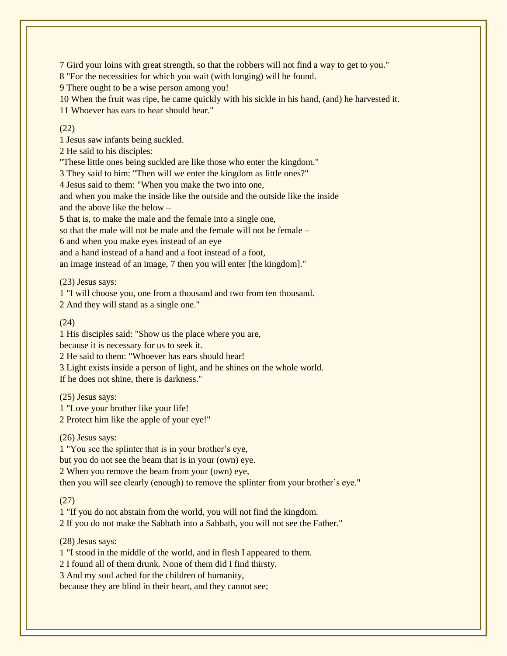7 Gird your loins with great strength, so that the robbers will not find a way to get to you."

8 "For the necessities for which you wait (with longing) will be found.

9 There ought to be a wise person among you!

10 When the fruit was ripe, he came quickly with his sickle in his hand, (and) he harvested it.

11 Whoever has ears to hear should hear."

#### (22)

1 Jesus saw infants being suckled.

2 He said to his disciples:

"These little ones being suckled are like those who enter the kingdom."

3 They said to him: "Then will we enter the kingdom as little ones?"

4 Jesus said to them: "When you make the two into one,

and when you make the inside like the outside and the outside like the inside and the above like the below –

5 that is, to make the male and the female into a single one,

so that the male will not be male and the female will not be female –

6 and when you make eyes instead of an eye

and a hand instead of a hand and a foot instead of a foot,

an image instead of an image, 7 then you will enter [the kingdom]."

(23) Jesus says:

1 "I will choose you, one from a thousand and two from ten thousand.

2 And they will stand as a single one."

#### (24)

1 His disciples said: "Show us the place where you are,

because it is necessary for us to seek it.

2 He said to them: "Whoever has ears should hear!

3 Light exists inside a person of light, and he shines on the whole world.

If he does not shine, there is darkness."

(25) Jesus says:

1 "Love your brother like your life!

2 Protect him like the apple of your eye!"

(26) Jesus says:

1 "You see the splinter that is in your brother's eye, but you do not see the beam that is in your (own) eye. 2 When you remove the beam from your (own) eye, then you will see clearly (enough) to remove the splinter from your brother's eye."

(27)

1 "If you do not abstain from the world, you will not find the kingdom. 2 If you do not make the Sabbath into a Sabbath, you will not see the Father."

(28) Jesus says:

1 "I stood in the middle of the world, and in flesh I appeared to them.

2 I found all of them drunk. None of them did I find thirsty.

3 And my soul ached for the children of humanity,

because they are blind in their heart, and they cannot see;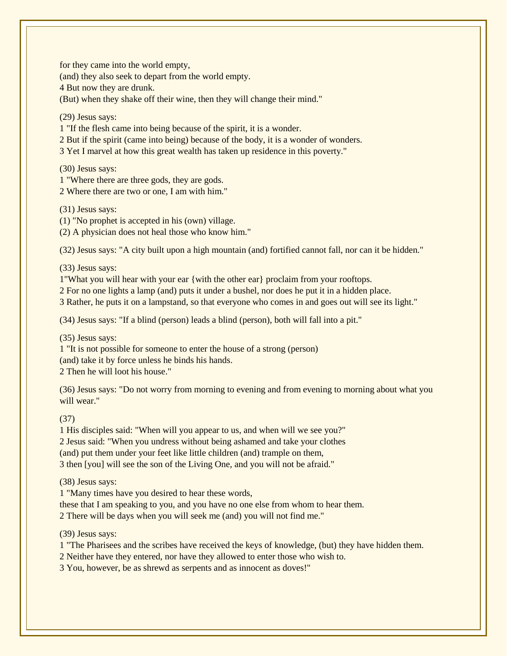for they came into the world empty,

(and) they also seek to depart from the world empty.

4 But now they are drunk.

(But) when they shake off their wine, then they will change their mind."

(29) Jesus says:

1 "If the flesh came into being because of the spirit, it is a wonder.

2 But if the spirit (came into being) because of the body, it is a wonder of wonders.

3 Yet I marvel at how this great wealth has taken up residence in this poverty."

(30) Jesus says:

1 "Where there are three gods, they are gods.

2 Where there are two or one, I am with him."

(31) Jesus says:

(1) "No prophet is accepted in his (own) village.

(2) A physician does not heal those who know him."

(32) Jesus says: "A city built upon a high mountain (and) fortified cannot fall, nor can it be hidden."

(33) Jesus says:

1"What you will hear with your ear {with the other ear} proclaim from your rooftops.

2 For no one lights a lamp (and) puts it under a bushel, nor does he put it in a hidden place.

3 Rather, he puts it on a lampstand, so that everyone who comes in and goes out will see its light."

(34) Jesus says: "If a blind (person) leads a blind (person), both will fall into a pit."

(35) Jesus says:

1 "It is not possible for someone to enter the house of a strong (person) (and) take it by force unless he binds his hands. 2 Then he will loot his house."

(36) Jesus says: "Do not worry from morning to evening and from evening to morning about what you will wear."

(37)

 His disciples said: "When will you appear to us, and when will we see you?" Jesus said: "When you undress without being ashamed and take your clothes (and) put them under your feet like little children (and) trample on them, then [you] will see the son of the Living One, and you will not be afraid."

(38) Jesus says:

1 "Many times have you desired to hear these words,

these that I am speaking to you, and you have no one else from whom to hear them. 2 There will be days when you will seek me (and) you will not find me."

(39) Jesus says:

1 "The Pharisees and the scribes have received the keys of knowledge, (but) they have hidden them.

2 Neither have they entered, nor have they allowed to enter those who wish to.

3 You, however, be as shrewd as serpents and as innocent as doves!"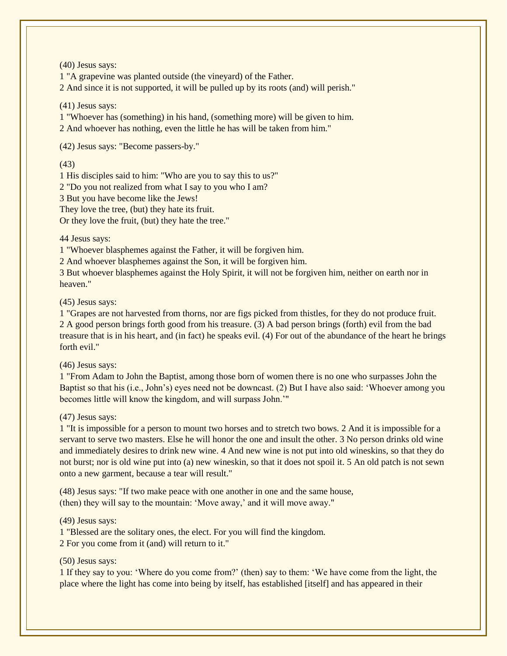(40) Jesus says:

1 "A grapevine was planted outside (the vineyard) of the Father.

2 And since it is not supported, it will be pulled up by its roots (and) will perish."

(41) Jesus says:

1 "Whoever has (something) in his hand, (something more) will be given to him.

2 And whoever has nothing, even the little he has will be taken from him."

(42) Jesus says: "Become passers-by."

(43)

1 His disciples said to him: "Who are you to say this to us?"

2 "Do you not realized from what I say to you who I am?

3 But you have become like the Jews!

They love the tree, (but) they hate its fruit.

Or they love the fruit, (but) they hate the tree."

44 Jesus says:

1 "Whoever blasphemes against the Father, it will be forgiven him.

2 And whoever blasphemes against the Son, it will be forgiven him.

3 But whoever blasphemes against the Holy Spirit, it will not be forgiven him, neither on earth nor in heaven."

(45) Jesus says:

1 "Grapes are not harvested from thorns, nor are figs picked from thistles, for they do not produce fruit. 2 A good person brings forth good from his treasure. (3) A bad person brings (forth) evil from the bad treasure that is in his heart, and (in fact) he speaks evil. (4) For out of the abundance of the heart he brings forth evil."

(46) Jesus says:

1 "From Adam to John the Baptist, among those born of women there is no one who surpasses John the Baptist so that his (i.e., John's) eyes need not be downcast. (2) But I have also said: 'Whoever among you becomes little will know the kingdom, and will surpass John.'"

(47) Jesus says:

1 "It is impossible for a person to mount two horses and to stretch two bows. 2 And it is impossible for a servant to serve two masters. Else he will honor the one and insult the other. 3 No person drinks old wine and immediately desires to drink new wine. 4 And new wine is not put into old wineskins, so that they do not burst; nor is old wine put into (a) new wineskin, so that it does not spoil it. 5 An old patch is not sewn onto a new garment, because a tear will result."

(48) Jesus says: "If two make peace with one another in one and the same house, (then) they will say to the mountain: 'Move away,' and it will move away."

(49) Jesus says:

1 "Blessed are the solitary ones, the elect. For you will find the kingdom.

2 For you come from it (and) will return to it."

(50) Jesus says:

1 If they say to you: 'Where do you come from?' (then) say to them: 'We have come from the light, the place where the light has come into being by itself, has established [itself] and has appeared in their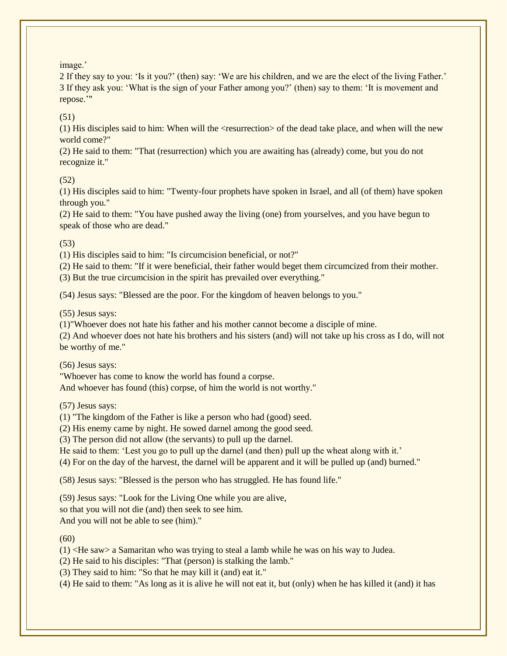image.'

2 If they say to you: 'Is it you?' (then) say: 'We are his children, and we are the elect of the living Father.' 3 If they ask you: 'What is the sign of your Father among you?' (then) say to them: 'It is movement and repose.'"

(51)

(1) His disciples said to him: When will the <resurrection> of the dead take place, and when will the new world come?"

(2) He said to them: "That (resurrection) which you are awaiting has (already) come, but you do not recognize it."

## (52)

(1) His disciples said to him: "Twenty-four prophets have spoken in Israel, and all (of them) have spoken through you."

(2) He said to them: "You have pushed away the living (one) from yourselves, and you have begun to speak of those who are dead."

(53)

(1) His disciples said to him: "Is circumcision beneficial, or not?"

(2) He said to them: "If it were beneficial, their father would beget them circumcized from their mother. (3) But the true circumcision in the spirit has prevailed over everything."

(54) Jesus says: "Blessed are the poor. For the kingdom of heaven belongs to you."

(55) Jesus says:

(1)"Whoever does not hate his father and his mother cannot become a disciple of mine.

(2) And whoever does not hate his brothers and his sisters (and) will not take up his cross as I do, will not be worthy of me."

(56) Jesus says:

"Whoever has come to know the world has found a corpse.

And whoever has found (this) corpse, of him the world is not worthy."

(57) Jesus says:

(1) "The kingdom of the Father is like a person who had (good) seed.

(2) His enemy came by night. He sowed darnel among the good seed.

(3) The person did not allow (the servants) to pull up the darnel.

He said to them: 'Lest you go to pull up the darnel (and then) pull up the wheat along with it.'

(4) For on the day of the harvest, the darnel will be apparent and it will be pulled up (and) burned."

(58) Jesus says: "Blessed is the person who has struggled. He has found life."

(59) Jesus says: "Look for the Living One while you are alive, so that you will not die (and) then seek to see him. And you will not be able to see (him)."

(60)

 $(1)$  <He saw> a Samaritan who was trying to steal a lamb while he was on his way to Judea.

(2) He said to his disciples: "That (person) is stalking the lamb."

(3) They said to him: "So that he may kill it (and) eat it."

(4) He said to them: "As long as it is alive he will not eat it, but (only) when he has killed it (and) it has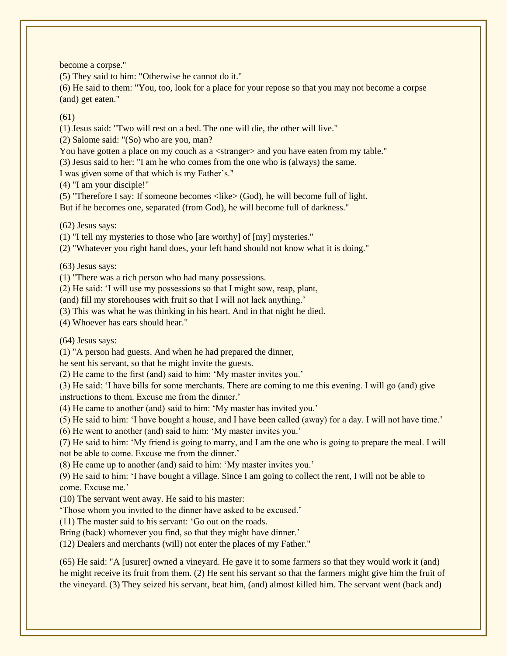become a corpse."

(5) They said to him: "Otherwise he cannot do it."

(6) He said to them: "You, too, look for a place for your repose so that you may not become a corpse (and) get eaten."

## (61)

(1) Jesus said: "Two will rest on a bed. The one will die, the other will live."

(2) Salome said: "(So) who are you, man?

You have gotten a place on my couch as a <stranger> and you have eaten from my table."

(3) Jesus said to her: "I am he who comes from the one who is (always) the same.

I was given some of that which is my Father's."

(4) "I am your disciple!"

(5) "Therefore I say: If someone becomes <like> (God), he will become full of light. But if he becomes one, separated (from God), he will become full of darkness."

(62) Jesus says:

(1) "I tell my mysteries to those who [are worthy] of [my] mysteries."

(2) "Whatever you right hand does, your left hand should not know what it is doing."

(63) Jesus says:

(1) "There was a rich person who had many possessions.

(2) He said: 'I will use my possessions so that I might sow, reap, plant,

(and) fill my storehouses with fruit so that I will not lack anything.'

(3) This was what he was thinking in his heart. And in that night he died.

(4) Whoever has ears should hear."

(64) Jesus says:

(1) "A person had guests. And when he had prepared the dinner,

he sent his servant, so that he might invite the guests.

(2) He came to the first (and) said to him: 'My master invites you.'

(3) He said: 'I have bills for some merchants. There are coming to me this evening. I will go (and) give instructions to them. Excuse me from the dinner.'

(4) He came to another (and) said to him: 'My master has invited you.'

(5) He said to him: 'I have bought a house, and I have been called (away) for a day. I will not have time.'

(6) He went to another (and) said to him: 'My master invites you.'

(7) He said to him: 'My friend is going to marry, and I am the one who is going to prepare the meal. I will not be able to come. Excuse me from the dinner.'

(8) He came up to another (and) said to him: 'My master invites you.'

(9) He said to him: 'I have bought a village. Since I am going to collect the rent, I will not be able to come. Excuse me.'

(10) The servant went away. He said to his master:

'Those whom you invited to the dinner have asked to be excused.'

(11) The master said to his servant: 'Go out on the roads.

Bring (back) whomever you find, so that they might have dinner.'

(12) Dealers and merchants (will) not enter the places of my Father."

(65) He said: "A [usurer] owned a vineyard. He gave it to some farmers so that they would work it (and) he might receive its fruit from them. (2) He sent his servant so that the farmers might give him the fruit of the vineyard. (3) They seized his servant, beat him, (and) almost killed him. The servant went (back and)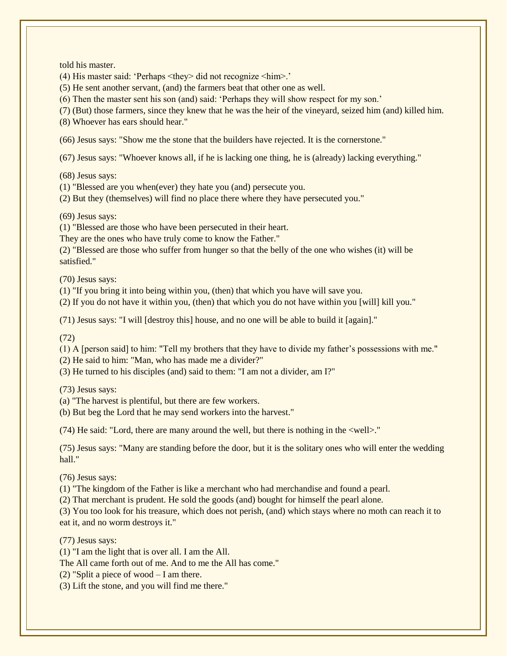told his master.

(4) His master said: 'Perhaps <they> did not recognize <him>.'

(5) He sent another servant, (and) the farmers beat that other one as well.

(6) Then the master sent his son (and) said: 'Perhaps they will show respect for my son.'

(7) (But) those farmers, since they knew that he was the heir of the vineyard, seized him (and) killed him.

(8) Whoever has ears should hear."

(66) Jesus says: "Show me the stone that the builders have rejected. It is the cornerstone."

(67) Jesus says: "Whoever knows all, if he is lacking one thing, he is (already) lacking everything."

(68) Jesus says:

(1) "Blessed are you when(ever) they hate you (and) persecute you.

(2) But they (themselves) will find no place there where they have persecuted you."

(69) Jesus says:

(1) "Blessed are those who have been persecuted in their heart.

They are the ones who have truly come to know the Father."

(2) "Blessed are those who suffer from hunger so that the belly of the one who wishes (it) will be satisfied."

(70) Jesus says:

(1) "If you bring it into being within you, (then) that which you have will save you.

(2) If you do not have it within you, (then) that which you do not have within you [will] kill you."

(71) Jesus says: "I will [destroy this] house, and no one will be able to build it [again]."

(72)

(1) A [person said] to him: "Tell my brothers that they have to divide my father's possessions with me."

(2) He said to him: "Man, who has made me a divider?"

(3) He turned to his disciples (and) said to them: "I am not a divider, am I?"

(73) Jesus says:

(a) "The harvest is plentiful, but there are few workers.

(b) But beg the Lord that he may send workers into the harvest."

(74) He said: "Lord, there are many around the well, but there is nothing in the <well>."

(75) Jesus says: "Many are standing before the door, but it is the solitary ones who will enter the wedding hall."

(76) Jesus says:

(1) "The kingdom of the Father is like a merchant who had merchandise and found a pearl.

(2) That merchant is prudent. He sold the goods (and) bought for himself the pearl alone.

(3) You too look for his treasure, which does not perish, (and) which stays where no moth can reach it to eat it, and no worm destroys it."

(77) Jesus says:

(1) "I am the light that is over all. I am the All.

The All came forth out of me. And to me the All has come."

(2) "Split a piece of wood  $- I$  am there.

(3) Lift the stone, and you will find me there."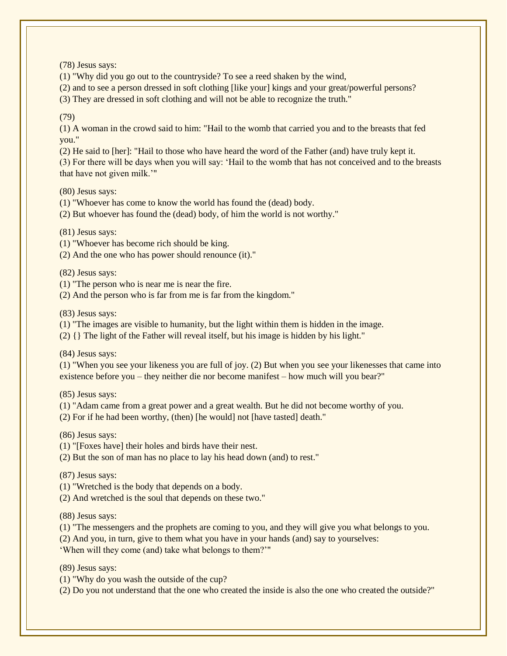(78) Jesus says:

(1) "Why did you go out to the countryside? To see a reed shaken by the wind,

(2) and to see a person dressed in soft clothing [like your] kings and your great/powerful persons?

(3) They are dressed in soft clothing and will not be able to recognize the truth."

(79)

(1) A woman in the crowd said to him: "Hail to the womb that carried you and to the breasts that fed you."

(2) He said to [her]: "Hail to those who have heard the word of the Father (and) have truly kept it.

(3) For there will be days when you will say: 'Hail to the womb that has not conceived and to the breasts that have not given milk.'"

(80) Jesus says:

(1) "Whoever has come to know the world has found the (dead) body.

(2) But whoever has found the (dead) body, of him the world is not worthy."

(81) Jesus says:

(1) "Whoever has become rich should be king.

(2) And the one who has power should renounce (it)."

(82) Jesus says:

(1) "The person who is near me is near the fire.

(2) And the person who is far from me is far from the kingdom."

(83) Jesus says:

(1) "The images are visible to humanity, but the light within them is hidden in the image.

(2) {} The light of the Father will reveal itself, but his image is hidden by his light."

(84) Jesus says:

(1) "When you see your likeness you are full of joy. (2) But when you see your likenesses that came into existence before you – they neither die nor become manifest – how much will you bear?"

(85) Jesus says:

(1) "Adam came from a great power and a great wealth. But he did not become worthy of you.

(2) For if he had been worthy, (then) [he would] not [have tasted] death."

(86) Jesus says:

(1) "[Foxes have] their holes and birds have their nest.

(2) But the son of man has no place to lay his head down (and) to rest."

(87) Jesus says:

(1) "Wretched is the body that depends on a body.

(2) And wretched is the soul that depends on these two."

(88) Jesus says:

(1) "The messengers and the prophets are coming to you, and they will give you what belongs to you.

(2) And you, in turn, give to them what you have in your hands (and) say to yourselves:

'When will they come (and) take what belongs to them?'"

(89) Jesus says:

(1) "Why do you wash the outside of the cup?

(2) Do you not understand that the one who created the inside is also the one who created the outside?"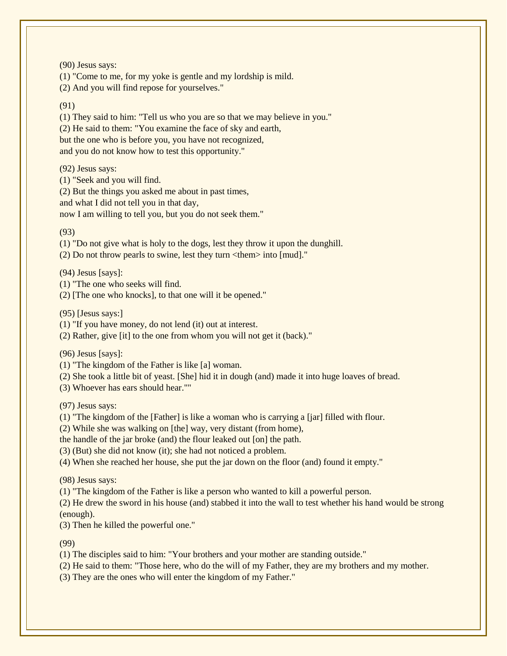(90) Jesus says:

(1) "Come to me, for my yoke is gentle and my lordship is mild.

(2) And you will find repose for yourselves."

(91)

(1) They said to him: "Tell us who you are so that we may believe in you."

(2) He said to them: "You examine the face of sky and earth,

but the one who is before you, you have not recognized,

and you do not know how to test this opportunity."

(92) Jesus says:

(1) "Seek and you will find.

(2) But the things you asked me about in past times,

and what I did not tell you in that day,

now I am willing to tell you, but you do not seek them."

(93)

(1) "Do not give what is holy to the dogs, lest they throw it upon the dunghill.

(2) Do not throw pearls to swine, lest they turn  $\lt$  them $>$  into [mud]."

(94) Jesus [says]:

(1) "The one who seeks will find.

(2) [The one who knocks], to that one will it be opened."

(95) [Jesus says:]

(1) "If you have money, do not lend (it) out at interest.

(2) Rather, give [it] to the one from whom you will not get it (back)."

(96) Jesus [says]:

(1) "The kingdom of the Father is like [a] woman.

(2) She took a little bit of yeast. [She] hid it in dough (and) made it into huge loaves of bread.

(3) Whoever has ears should hear.""

(97) Jesus says:

(1) "The kingdom of the [Father] is like a woman who is carrying a [jar] filled with flour.

(2) While she was walking on [the] way, very distant (from home),

the handle of the jar broke (and) the flour leaked out [on] the path.

(3) (But) she did not know (it); she had not noticed a problem.

(4) When she reached her house, she put the jar down on the floor (and) found it empty."

(98) Jesus says:

(1) "The kingdom of the Father is like a person who wanted to kill a powerful person.

(2) He drew the sword in his house (and) stabbed it into the wall to test whether his hand would be strong (enough).

(3) Then he killed the powerful one."

(99)

(1) The disciples said to him: "Your brothers and your mother are standing outside."

(2) He said to them: "Those here, who do the will of my Father, they are my brothers and my mother.

(3) They are the ones who will enter the kingdom of my Father."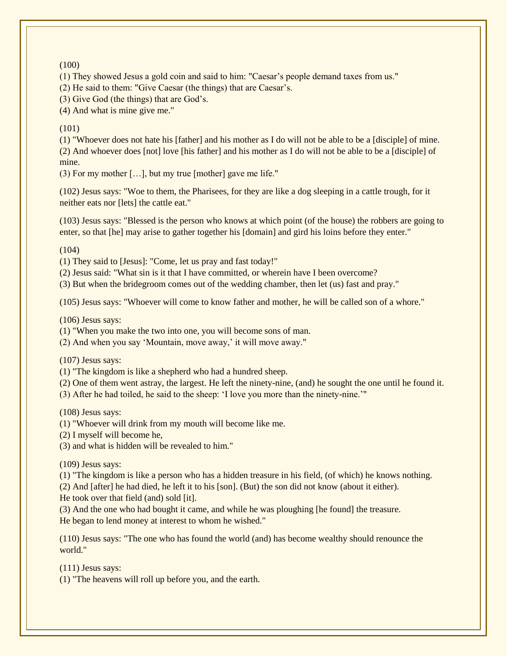### (100)

(1) They showed Jesus a gold coin and said to him: "Caesar's people demand taxes from us."

(2) He said to them: "Give Caesar (the things) that are Caesar's.

(3) Give God (the things) that are God's.

(4) And what is mine give me."

## (101)

(1) "Whoever does not hate his [father] and his mother as I do will not be able to be a [disciple] of mine. (2) And whoever does [not] love [his father] and his mother as I do will not be able to be a [disciple] of mine.

(3) For my mother […], but my true [mother] gave me life."

(102) Jesus says: "Woe to them, the Pharisees, for they are like a dog sleeping in a cattle trough, for it neither eats nor [lets] the cattle eat."

(103) Jesus says: "Blessed is the person who knows at which point (of the house) the robbers are going to enter, so that [he] may arise to gather together his [domain] and gird his loins before they enter."

 $(104)$ 

(1) They said to [Jesus]: "Come, let us pray and fast today!"

(2) Jesus said: "What sin is it that I have committed, or wherein have I been overcome?

(3) But when the bridegroom comes out of the wedding chamber, then let (us) fast and pray."

(105) Jesus says: "Whoever will come to know father and mother, he will be called son of a whore."

(106) Jesus says:

(1) "When you make the two into one, you will become sons of man.

(2) And when you say 'Mountain, move away,' it will move away."

(107) Jesus says:

(1) "The kingdom is like a shepherd who had a hundred sheep.

(2) One of them went astray, the largest. He left the ninety-nine, (and) he sought the one until he found it.

(3) After he had toiled, he said to the sheep: 'I love you more than the ninety-nine.'"

(108) Jesus says:

(1) "Whoever will drink from my mouth will become like me.

(2) I myself will become he,

(3) and what is hidden will be revealed to him."

(109) Jesus says:

(1) "The kingdom is like a person who has a hidden treasure in his field, (of which) he knows nothing.

(2) And [after] he had died, he left it to his [son]. (But) the son did not know (about it either).

He took over that field (and) sold [it].

(3) And the one who had bought it came, and while he was ploughing [he found] the treasure. He began to lend money at interest to whom he wished."

(110) Jesus says: "The one who has found the world (and) has become wealthy should renounce the world."

(111) Jesus says:

(1) "The heavens will roll up before you, and the earth.